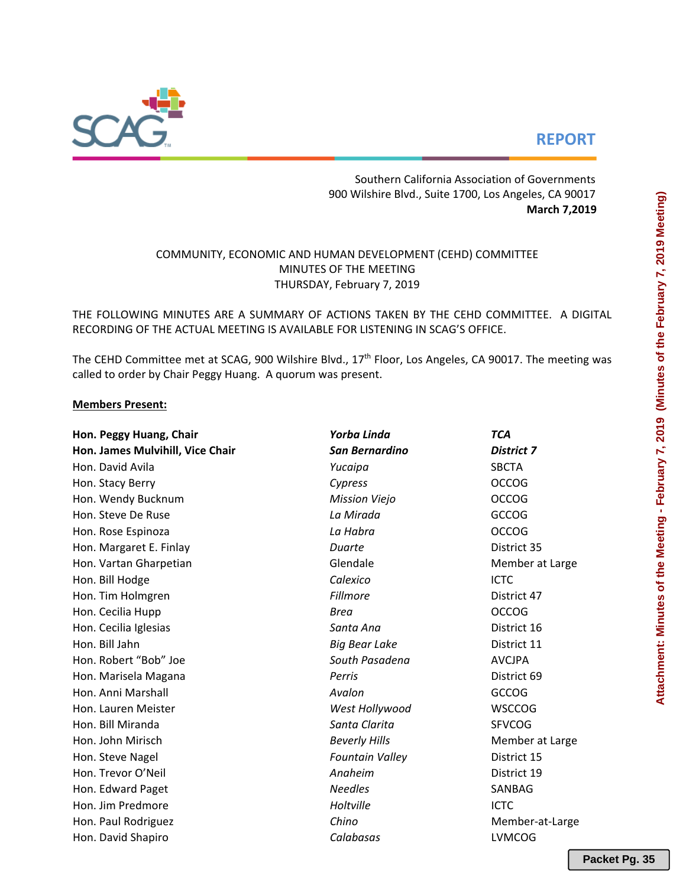# **REPORT**



Southern California Association of Governments 900 Wilshire Blvd., Suite 1700, Los Angeles, CA 90017  **March 7,2019**

# COMMUNITY, ECONOMIC AND HUMAN DEVELOPMENT (CEHD) COMMITTEE MINUTES OF THE MEETING THURSDAY, February 7, 2019

THE FOLLOWING MINUTES ARE A SUMMARY OF ACTIONS TAKEN BY THE CEHD COMMITTEE. A DIGITAL RECORDING OF THE ACTUAL MEETING IS AVAILABLE FOR LISTENING IN SCAG'S OFFICE.

The CEHD Committee met at SCAG, 900 Wilshire Blvd., 17<sup>th</sup> Floor, Los Angeles, CA 90017. The meeting was called to order by Chair Peggy Huang. A quorum was present.

# **Members Present:**

| Hon. Peggy Huang, Chair          | Yorba Linda            | <b>TCA</b>        |  |  |  |  |
|----------------------------------|------------------------|-------------------|--|--|--|--|
| Hon. James Mulvihill, Vice Chair | <b>San Bernardino</b>  | <b>District 7</b> |  |  |  |  |
| Hon. David Avila                 | Yucaipa                | <b>SBCTA</b>      |  |  |  |  |
| Hon. Stacy Berry                 | Cypress                | <b>OCCOG</b>      |  |  |  |  |
| Hon. Wendy Bucknum               | <b>Mission Viejo</b>   | <b>OCCOG</b>      |  |  |  |  |
| Hon. Steve De Ruse               | La Mirada              | GCCOG             |  |  |  |  |
| Hon. Rose Espinoza               | La Habra               | <b>OCCOG</b>      |  |  |  |  |
| Hon. Margaret E. Finlay          | Duarte                 | District 35       |  |  |  |  |
| Hon. Vartan Gharpetian           | Glendale               | Member at Large   |  |  |  |  |
| Hon. Bill Hodge                  | Calexico               | <b>ICTC</b>       |  |  |  |  |
| Hon. Tim Holmgren                | Fillmore               | District 47       |  |  |  |  |
| Hon. Cecilia Hupp                | <b>Brea</b>            | <b>OCCOG</b>      |  |  |  |  |
| Hon. Cecilia Iglesias            | Santa Ana              | District 16       |  |  |  |  |
| Hon. Bill Jahn                   | <b>Big Bear Lake</b>   | District 11       |  |  |  |  |
| Hon. Robert "Bob" Joe            | South Pasadena         | <b>AVCJPA</b>     |  |  |  |  |
| Hon. Marisela Magana             | Perris                 | District 69       |  |  |  |  |
| Hon. Anni Marshall               | Avalon                 | <b>GCCOG</b>      |  |  |  |  |
| Hon. Lauren Meister              | West Hollywood         | <b>WSCCOG</b>     |  |  |  |  |
| Hon. Bill Miranda                | Santa Clarita          | <b>SFVCOG</b>     |  |  |  |  |
| Hon. John Mirisch                | <b>Beverly Hills</b>   | Member at Large   |  |  |  |  |
| Hon. Steve Nagel                 | <b>Fountain Valley</b> | District 15       |  |  |  |  |
| Hon. Trevor O'Neil               | Anaheim                | District 19       |  |  |  |  |
| Hon. Edward Paget                | <b>Needles</b>         | SANBAG            |  |  |  |  |
| Hon. Jim Predmore                | Holtville              | <b>ICTC</b>       |  |  |  |  |
| Hon. Paul Rodriguez              | Chino                  | Member-at-Large   |  |  |  |  |
| Hon. David Shapiro               | Calabasas              | <b>LVMCOG</b>     |  |  |  |  |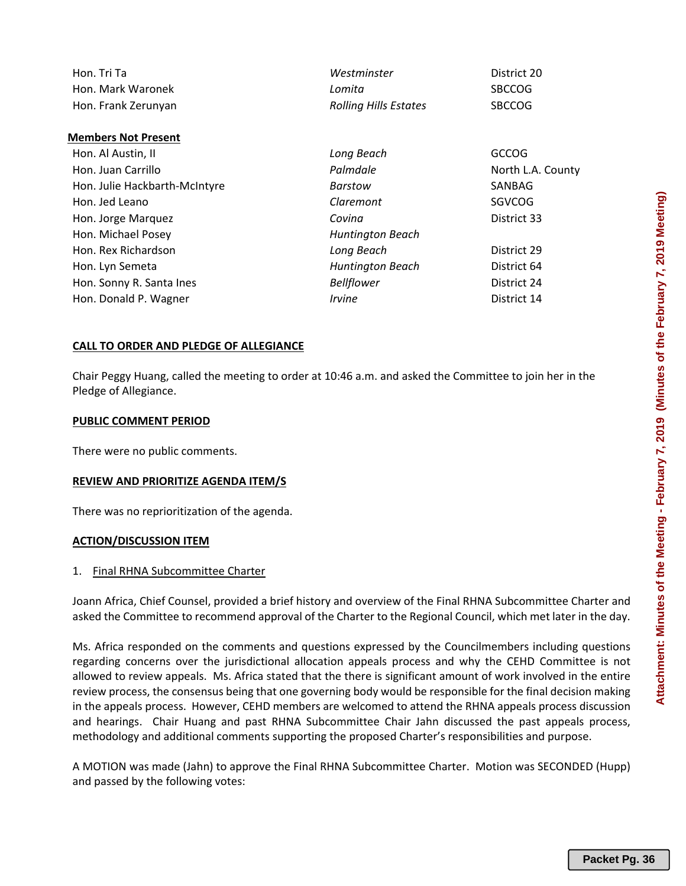| d<br>an<br>ľ<br>day.             |  |
|----------------------------------|--|
| tions<br>; not<br>ntire<br>aking |  |

| Hon. Tri Ta         | Westminster                  | District 20   |
|---------------------|------------------------------|---------------|
| Hon. Mark Waronek   | Lomita                       | <b>SBCCOG</b> |
| Hon. Frank Zerunyan | <b>Rolling Hills Estates</b> | <b>SBCCOG</b> |

| Hon. Al Austin, II            | Long Beach                  | <b>GCCOG</b>      |
|-------------------------------|-----------------------------|-------------------|
| Hon. Juan Carrillo            | Palmdale                    | North L.A. County |
| Hon. Julie Hackbarth-McIntyre | Barstow                     | SANBAG            |
| Hon. Jed Leano                | Claremont                   | SGVCOG            |
| Hon. Jorge Marquez            | Covina                      | District 33       |
| Hon. Michael Posey            | Huntington Beach            |                   |
| Hon. Rex Richardson           | Long Beach                  | District 29       |
| Hon. Lyn Semeta               | <b>Huntington Beach</b>     | District 64       |
| Hon. Sonny R. Santa Ines      | <b>Bellflower</b>           | District 24       |
| Hon. Donald P. Wagner         | <i><u><b>Irvine</b></u></i> | District 14       |

# **CALL TO ORDER AND PLEDGE OF ALLEGIANCE**

Chair Peggy Huang, called the meeting to order at 10:46 a.m. and asked the Committee to join her in the Pledge of Allegiance.

### **PUBLIC COMMENT PERIOD**

**Members Not Present** 

There were no public comments.

### **REVIEW AND PRIORITIZE AGENDA ITEM/S**

There was no reprioritization of the agenda.

# **ACTION/DISCUSSION ITEM**

# 1. Final RHNA Subcommittee Charter

Joann Africa, Chief Counsel, provided a brief history and overview of the Final RHNA Subcommittee Charter asked the Committee to recommend approval of the Charter to the Regional Council, which met later in the day.

Ms. Africa responded on the comments and questions expressed by the Councilmembers including questions regarding concerns over the jurisdictional allocation appeals process and why the CEHD Committee is not allowed to review appeals. Ms. Africa stated that the there is significant amount of work involved in the entire review process, the consensus being that one governing body would be responsible for the final decision making in the appeals process. However, CEHD members are welcomed to attend the RHNA appeals process discussion and hearings. Chair Huang and past RHNA Subcommittee Chair Jahn discussed the past appeals process, methodology and additional comments supporting the proposed Charter's responsibilities and purpose.

A MOTION was made (Jahn) to approve the Final RHNA Subcommittee Charter. Motion was SECONDED (Hupp) and passed by the following votes: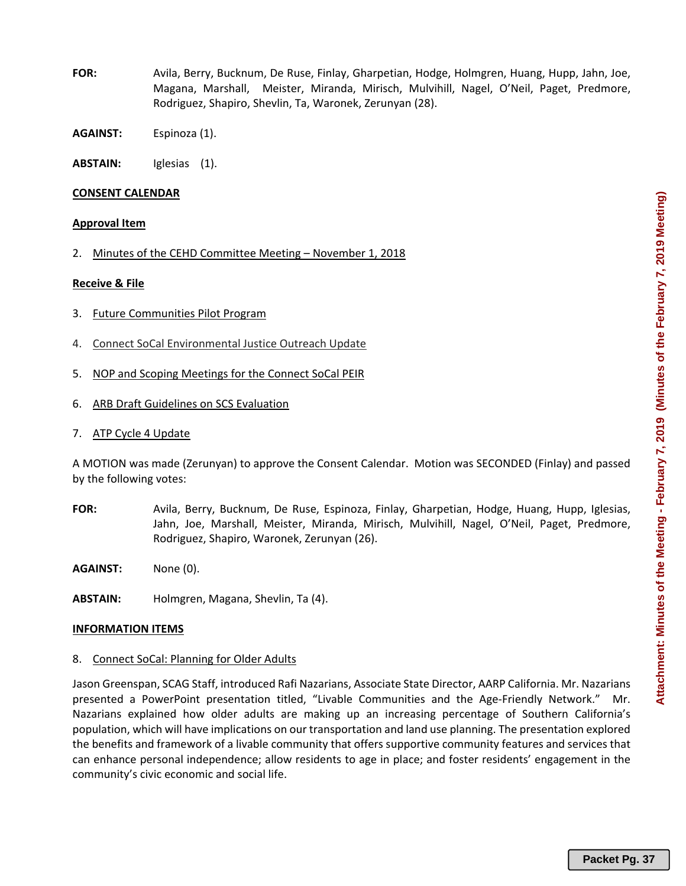- **FOR:** Avila, Berry, Bucknum, De Ruse, Finlay, Gharpetian, Hodge, Holmgren, Huang, Hupp, Jahn, Joe, Magana, Marshall, Meister, Miranda, Mirisch, Mulvihill, Nagel, O'Neil, Paget, Predmore, Rodriguez, Shapiro, Shevlin, Ta, Waronek, Zerunyan (28).
- **AGAINST:** Espinoza (1).
- **ABSTAIN:** Iglesias (1).

### **CONSENT CALENDAR**

### **Approval Item**

2. Minutes of the CEHD Committee Meeting – November 1, 2018

### **Receive & File**

- 3. Future Communities Pilot Program
- 4. Connect SoCal Environmental Justice Outreach Update
- 5. NOP and Scoping Meetings for the Connect SoCal PEIR
- 6. ARB Draft Guidelines on SCS Evaluation
- 7. ATP Cycle 4 Update

A MOTION was made (Zerunyan) to approve the Consent Calendar. Motion was SECONDED (Finlay) and passed by the following votes:

- **FOR:** Avila, Berry, Bucknum, De Ruse, Espinoza, Finlay, Gharpetian, Hodge, Huang, Hupp, Iglesias, Jahn, Joe, Marshall, Meister, Miranda, Mirisch, Mulvihill, Nagel, O'Neil, Paget, Predmore, Rodriguez, Shapiro, Waronek, Zerunyan (26).
- **AGAINST:** None (0).
- **ABSTAIN:** Holmgren, Magana, Shevlin, Ta (4).

### **INFORMATION ITEMS**

8. Connect SoCal: Planning for Older Adults

Jason Greenspan, SCAG Staff, introduced Rafi Nazarians, Associate State Director, AARP California. Mr. Nazarians presented a PowerPoint presentation titled, "Livable Communities and the Age‐Friendly Network." Mr. Nazarians explained how older adults are making up an increasing percentage of Southern California's population, which will have implications on our transportation and land use planning. The presentation explored the benefits and framework of a livable community that offers supportive community features and services that can enhance personal independence; allow residents to age in place; and foster residents' engagement in the community's civic economic and social life.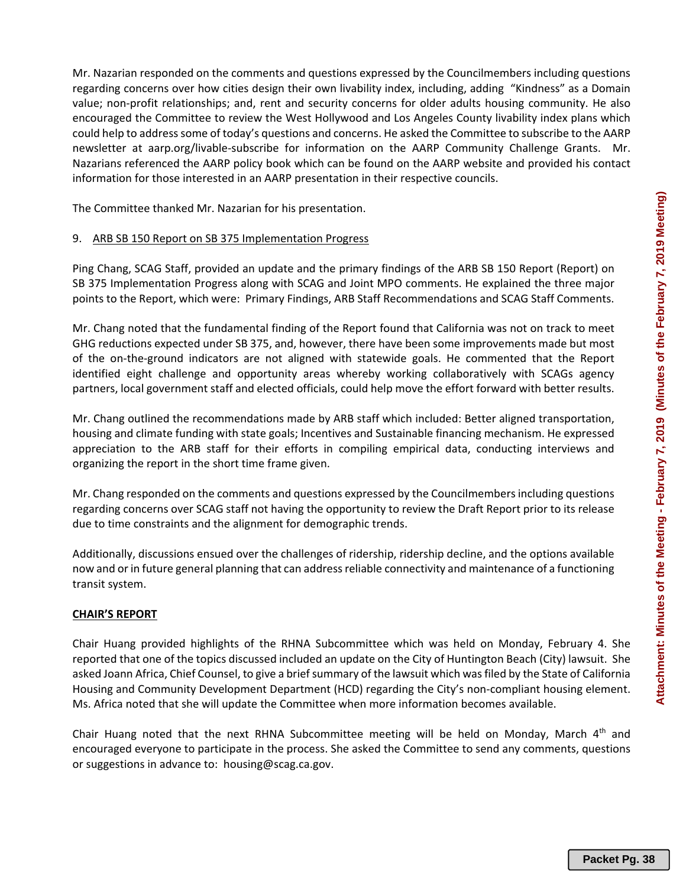Mr. Nazarian responded on the comments and questions expressed by the Councilmembers including questions regarding concerns over how cities design their own livability index, including, adding "Kindness" as a Domain value; non-profit relationships; and, rent and security concerns for older adults housing community. He also encouraged the Committee to review the West Hollywood and Los Angeles County livability index plans which could help to address some of today's questions and concerns. He asked the Committee to subscribe to the AARP newsletter at aarp.org/livable-subscribe for information on the AARP Community Challenge Grants. Mr. Nazarians referenced the AARP policy book which can be found on the AARP website and provided his contact information for those interested in an AARP presentation in their respective councils.

The Committee thanked Mr. Nazarian for his presentation.

# 9. ARB SB 150 Report on SB 375 Implementation Progress

Ping Chang, SCAG Staff, provided an update and the primary findings of the ARB SB 150 Report (Report) on SB 375 Implementation Progress along with SCAG and Joint MPO comments. He explained the three major points to the Report, which were: Primary Findings, ARB Staff Recommendations and SCAG Staff Comments.

Mr. Chang noted that the fundamental finding of the Report found that California was not on track to meet GHG reductions expected under SB 375, and, however, there have been some improvements made but most of the on‐the‐ground indicators are not aligned with statewide goals. He commented that the Report identified eight challenge and opportunity areas whereby working collaboratively with SCAGs agency partners, local government staff and elected officials, could help move the effort forward with better results.

Mr. Chang outlined the recommendations made by ARB staff which included: Better aligned transportation, housing and climate funding with state goals; Incentives and Sustainable financing mechanism. He expressed appreciation to the ARB staff for their efforts in compiling empirical data, conducting interviews and organizing the report in the short time frame given.

Mr. Chang responded on the comments and questions expressed by the Councilmembers including questions regarding concerns over SCAG staff not having the opportunity to review the Draft Report prior to its release due to time constraints and the alignment for demographic trends.

Additionally, discussions ensued over the challenges of ridership, ridership decline, and the options available now and or in future general planning that can address reliable connectivity and maintenance of a functioning transit system.

# **CHAIR'S REPORT**

Chair Huang provided highlights of the RHNA Subcommittee which was held on Monday, February 4. She reported that one of the topics discussed included an update on the City of Huntington Beach (City) lawsuit. She asked Joann Africa, Chief Counsel, to give a brief summary of the lawsuit which was filed by the State of California Housing and Community Development Department (HCD) regarding the City's non‐compliant housing element. Ms. Africa noted that she will update the Committee when more information becomes available.

Chair Huang noted that the next RHNA Subcommittee meeting will be held on Monday, March 4<sup>th</sup> and encouraged everyone to participate in the process. She asked the Committee to send any comments, questions or suggestions in advance to: housing@scag.ca.gov.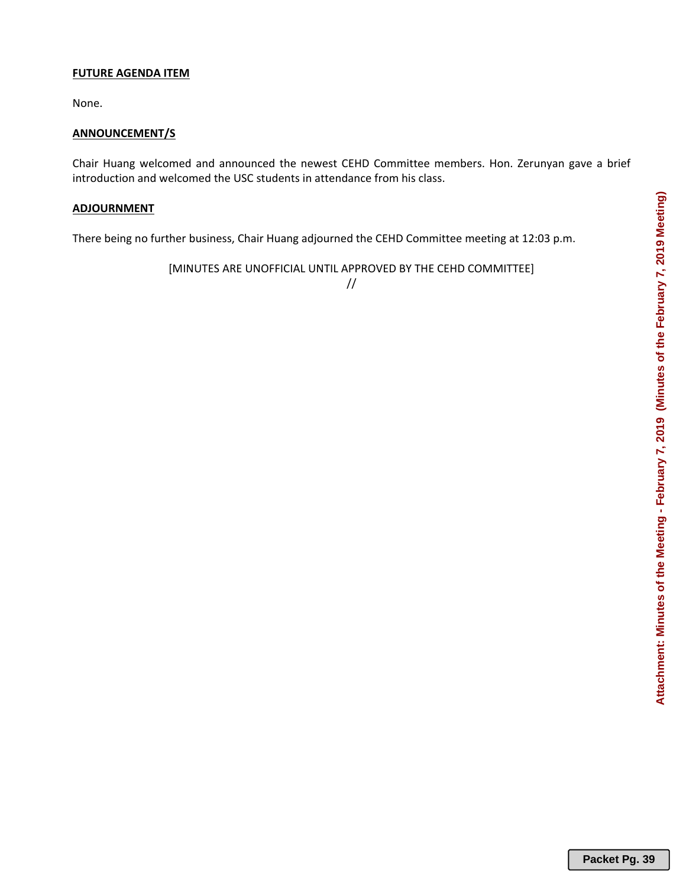# Attachment: Minutes of the Meeting - February 7, 2019 (Minutes of the February 7, 2019 Meeting) **Attachment: Minutes of the Meeting - February 7, 2019 (Minutes of the February 7, 2019 Meeting)**

# **FUTURE AGENDA ITEM**

None.

# **ANNOUNCEMENT/S**

Chair Huang welcomed and announced the newest CEHD Committee members. Hon. Zerunyan gave a brief introduction and welcomed the USC students in attendance from his class.

# **ADJOURNMENT**

There being no further business, Chair Huang adjourned the CEHD Committee meeting at 12:03 p.m.

[MINUTES ARE UNOFFICIAL UNTIL APPROVED BY THE CEHD COMMITTEE]

//